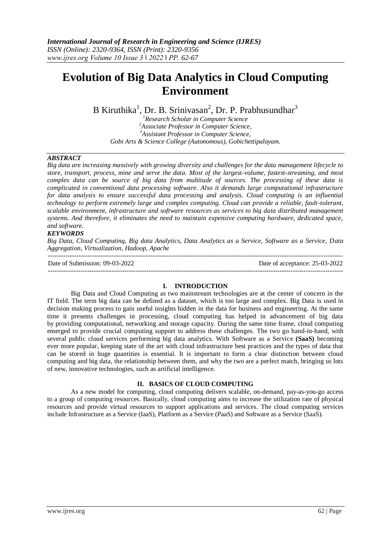# **Evolution of Big Data Analytics in Cloud Computing Environment**

B Kiruthika<sup>1</sup>, Dr. B. Srinivasan<sup>2</sup>, Dr. P. Prabhusundhar<sup>3</sup>

*Research Scholar in Computer Science Associate Professor in Computer Science, Assistant Professor in Computer Science, Gobi Arts & Science College (Autonomous), Gobichettipalayam.*

## *ABSTRACT*

*Big data are increasing massively with growing diversity and challenges for the data management lifecycle to store, transport, process, mine and serve the data. Most of the largest-volume, fastest-streaming, and most complex data can be source of big data from multitude of sources. The processing of these data is complicated in conventional data processing software. Also it demands large computational infrastructure for data analysis to ensure successful data processing and analysis. Cloud computing is an influential technology to perform extremely large and complex computing. Cloud can provide a reliable, fault-tolerant, scalable environment, infrastructure and software resources as services to big data distributed management systems. And therefore, it eliminates the need to maintain expensive computing hardware, dedicated space, and software.*

## *KEYWORDS*

*Big Data, Cloud Computing, Big data Analytics, Data Analytics as a Service, Software as a Service, Data Aggregation, Virtualization, Hadoop, Apache*

--------------------------------------------------------------------------------------------------------------------------------------- Date of Submission: 09-03-2022 Date of acceptance: 25-03-2022

---------------------------------------------------------------------------------------------------------------------------------------

#### **I. INTRODUCTION**

Big Data and Cloud Computing as two mainstream technologies are at the center of concern in the IT field. The term big data can be defined as a dataset, which is too large and complex. Big Data is used in decision making process to gain useful insights hidden in the data for business and engineering. At the same time it presents challenges in processing, cloud computing has helped in advancement of big data by providing computational, networking and storage capacity. During the same time frame, cloud computing emerged to provide crucial computing support to address these challenges. The two go hand-in-hand, with several public cloud services performing big data analytics. With Software as a Service **(SaaS)** becoming ever more popular, keeping state of the art with cloud infrastructure best practices and the types of data that can be stored in huge quantities is essential. It is important to form a clear distinction between cloud computing and big data, the relationship between them, and why the two are a perfect match, bringing us lots of new, innovative technologies, such as artificial intelligence.

#### **II. BASICS OF CLOUD COMPUTING**

As a new model for computing, cloud computing delivers scalable, on-demand, pay-as-you-go access to a group of computing resources. Basically, cloud computing aims to increase the utilization rate of physical resources and provide virtual resources to support applications and services. The cloud computing services include Infrastructure as a Service (IaaS), Platform as a Service (PaaS) and Software as a Service (SaaS).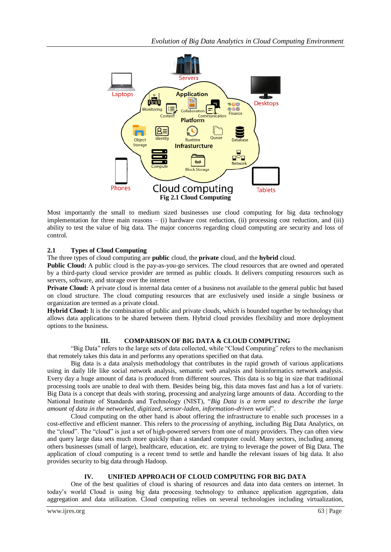

Most importantly the small to medium sized businesses use cloud computing for big data technology implementation for three main reasons – (i) hardware cost reduction, (ii) processing cost reduction, and (iii) ability to test the value of big data. The major concerns regarding cloud computing are security and loss of control.

# **2.1 Types of Cloud Computing**

The three types of cloud computing are **public** cloud, the **private** cloud, and the **hybrid** cloud.

**Public Cloud:** A public cloud is the pay-as-you-go services. The cloud resources that are owned and operated by a third-party cloud service provider are termed as public clouds. It delivers computing resources such as servers, software, and storage over the internet

**Private Cloud:** A private cloud is internal data center of a business not available to the general public but based on cloud structure. The cloud computing resources that are exclusively used inside a single business or organization are termed as a private cloud.

**Hybrid Cloud:** It is the combination of public and private clouds, which is bounded together by technology that allows data applications to be shared between them. Hybrid cloud provides flexibility and more deployment options to the business.

## **III. COMPARISON OF BIG DATA & CLOUD COMPUTING**

"Big Data" refers to the large sets of data collected, while "Cloud Computing" refers to the mechanism that remotely takes this data in and performs any operations specified on that data.

Big data is a data analysis methodology that contributes in the rapid growth of various applications using in daily life like social network analysis, semantic web analysis and bioinformatics network analysis. Every day a huge amount of data is produced from different sources. This data is so big in size that traditional processing tools are unable to deal with them. Besides being big, this data moves fast and has a lot of variety. Big Data is a concept that deals with storing, processing and analyzing large amounts of data. According to the National Institute of Standards and Technology (NIST), "*Big Data is a term used to describe the large amount of data in the networked, digitized, sensor*-*laden, information*-*driven world*".

Cloud computing on the other hand is about offering the infrastructure to enable such processes in a cost-effective and efficient manner. This refers to the *processing* of anything, including Big Data Analytics, on the "cloud". The "cloud" is just a set of high-powered servers from one of many providers. They can often view and query large data sets much more quickly than a standard computer could. Many sectors, including among others businesses (small of large), healthcare, education, etc. are trying to leverage the power of Big Data. The application of cloud computing is a recent trend to settle and handle the relevant issues of big data. It also provides security to big data through Hadoop.

## **IV. UNIFIED APPROACH OF CLOUD COMPUTING FOR BIG DATA**

One of the best qualities of cloud is sharing of resources and data into data centers on internet. In today's world Cloud is using big data processing technology to enhance application aggregation, data aggregation and data utilization. Cloud computing relies on several technologies including virtualization,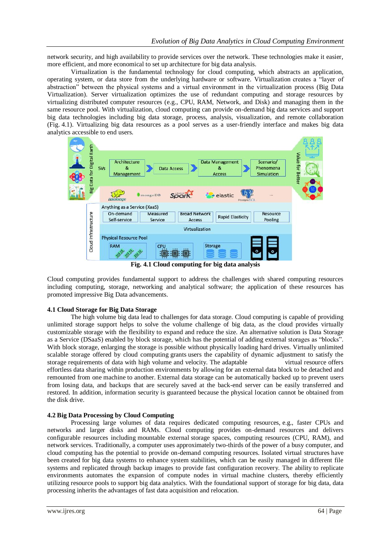network security, and high availability to provide services over the network. These technologies make it easier, more efficient, and more economical to set up architecture for big data analysis.

Virtualization is the fundamental technology for cloud computing, which abstracts an application, operating system, or data store from the underlying hardware or software. Virtualization creates a "layer of abstraction" between the physical systems and a virtual environment in the virtualization process (Big Data Virtualization). Server virtualization optimizes the use of redundant computing and storage resources by virtualizing distributed computer resources (e.g., CPU, RAM, Network, and Disk) and managing them in the same resource pool. With virtualization, cloud computing can provide on-demand big data services and support big data technologies including big data storage, process, analysis, visualization, and remote collaboration (Fig. 4.1). Virtualizing big data resources as a pool serves as a user-friendly interface and makes big data analytics accessible to end users.



**Fig. 4.1 Cloud computing for big data analysis**

Cloud computing provides fundamental support to address the challenges with shared computing resources including computing, storage, networking and analytical software; the application of these resources has promoted impressive Big Data advancements.

#### **4.1 Cloud Storage for Big Data Storage**

The high volume big data lead to challenges for data storage. Cloud computing is capable of providing unlimited storage support helps to solve the volume challenge of big data, as the cloud provides virtually customizable storage with the flexibility to expand and reduce the size. An alternative solution is Data Storage as a Service (DSaaS) enabled by block storage, which has the potential of adding external storages as "blocks". With block storage, enlarging the storage is possible without physically loading hard drives. Virtually unlimited scalable storage offered by cloud computing grants users the capability of dynamic adjustment to satisfy the storage requirements of data with high volume and velocity. The adaptable virtual resource offers effortless data sharing within production environments by allowing for an external data block to be detached and remounted from one machine to another. External data storage can be automatically backed up to prevent users from losing data, and backups that are securely saved at the back-end server can be easily transferred and restored. In addition, information security is guaranteed because the physical location cannot be obtained from the disk drive.

#### **4.2 Big Data Processing by Cloud Computing**

Processing large volumes of data requires dedicated computing resources, e.g., faster CPUs and networks and larger disks and RAMs. Cloud computing provides on-demand resources and delivers configurable resources including mountable external storage spaces, computing resources (CPU, RAM), and network services. Traditionally, a computer uses approximately two-thirds of the power of a busy computer, and cloud computing has the potential to provide on-demand computing resources. Isolated virtual structures have been created for big data systems to enhance system stabilities, which can be easily managed in different file systems and replicated through backup images to provide fast configuration recovery. The ability to replicate environments automates the expansion of compute nodes in virtual machine clusters, thereby efficiently utilizing resource pools to support big data analytics. With the foundational support of storage for big data, data processing inherits the advantages of fast data acquisition and relocation.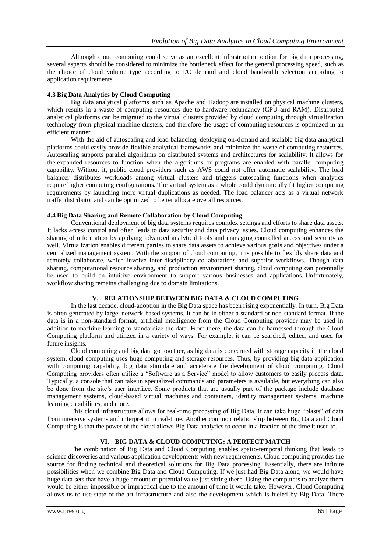Although cloud computing could serve as an excellent infrastructure option for big data processing, several aspects should be considered to minimize the bottleneck effect for the general processing speed, such as the choice of cloud volume type according to I/O demand and cloud bandwidth selection according to application requirements.

## **4.3 Big Data Analytics by Cloud Computing**

Big data analytical platforms such as Apache and Hadoop are installed on physical machine clusters, which results in a waste of computing resources due to hardware redundancy (CPU and RAM). Distributed analytical platforms can be migrated to the virtual clusters provided by cloud computing through virtualization technology from physical machine clusters, and therefore the usage of computing resources is optimized in an efficient manner.

With the aid of autoscaling and load balancing, deploying on-demand and scalable big data analytical platforms could easily provide flexible analytical frameworks and minimize the waste of computing resources. Autoscaling supports parallel algorithms on distributed systems and architectures for scalability. It allows for the expanded resources to function when the algorithms or programs are enabled with parallel computing capability. Without it, public cloud providers such as AWS could not offer automatic scalability. The load balancer distributes workloads among virtual clusters and triggers autoscaling functions when analytics require higher computing configurations. The virtual system as a whole could dynamically fit higher computing requirements by launching more virtual duplications as needed. The load balancer acts as a virtual network traffic distributor and can be optimized to better allocate overall resources.

## **4.4 Big Data Sharing and Remote Collaboration by Cloud Computing**

Conventional deployment of big data systems requires complex settings and efforts to share data assets. It lacks access control and often leads to data security and data privacy issues. Cloud computing enhances the sharing of information by applying advanced analytical tools and managing controlled access and security as well. Virtualization enables different parties to share data assets to achieve various goals and objectives under a centralized management system. With the support of cloud computing, it is possible to flexibly share data and remotely collaborate, which involve inter-disciplinary collaborations and superior workflows. Though data sharing, computational resource sharing, and production environment sharing, cloud computing can potentially be used to build an intuitive environment to support various businesses and applications. Unfortunately, workflow sharing remains challenging due to domain limitations.

## **V. RELATIONSHIP BETWEEN BIG DATA & CLOUD COMPUTING**

In the last decade, cloud-adoption in the Big Data space has been rising exponentially. In turn, Big Data is often generated by large, network-based systems. It can be in either a standard or non-standard format. If the data is in a non-standard format, artificial intelligence from the Cloud Computing provider may be used in addition to machine learning to standardize the data. From there, the data can be harnessed through the Cloud Computing platform and utilized in a variety of ways. For example, it can be searched, edited, and used for future insights.

Cloud computing and big data go together, as big data is concerned with storage capacity in the cloud system, cloud computing uses huge computing and storage resources. Thus, by providing big data application with computing capability, big data stimulate and accelerate the development of cloud computing. Cloud Computing providers often utilize a "Software as a Service" model to allow customers to easily process data. Typically, a console that can take in specialized commands and parameters is available, but everything can also be done from the site's user interface. Some products that are usually part of the package include database management systems, cloud-based virtual machines and containers, identity management systems, machine learning capabilities, and more.

This cloud infrastructure allows for real-time processing of Big Data. It can take huge "blasts" of data from intensive systems and interpret it in real-time. Another common relationship between Big Data and Cloud Computing is that the power of the cloud allows Big Data analytics to occur in a fraction of the time it used to.

# **VI. BIG DATA & CLOUD COMPUTING: A PERFECT MATCH**

The combination of Big Data and Cloud Computing enables spatio-temporal thinking that leads to science discoveries and various application developments with new requirements. Cloud computing provides the source for finding technical and theoretical solutions for Big Data processing. Essentially, there are infinite possibilities when we combine Big Data and Cloud Computing. If we just had Big Data alone, we would have huge data sets that have a huge amount of potential value just sitting there. Using the computers to analyze them would be either impossible or impractical due to the amount of time it would take. However, Cloud Computing allows us to use state-of-the-art infrastructure and also the development which is fueled by Big Data. There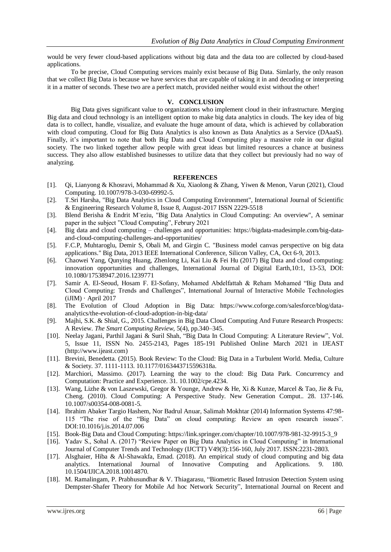would be very fewer cloud-based applications without big data and the data too are collected by cloud-based applications.

To be precise, Cloud Computing services mainly exist because of Big Data. Simlarly, the only reason that we collect Big Data is because we have services that are capable of taking it in and decoding or interpreting it in a matter of seconds. These two are a perfect match, provided neither would exist without the other!

#### **V. CONCLUSION**

Big Data gives significant value to organizations who implement cloud in their infrastructure. Merging Big data and cloud technology is an intelligent option to make big data analytics in clouds. The key idea of big data is to collect, handle, visualize, and evaluate the huge amount of data, which is achieved by collaboration with cloud computing. Cloud for Big Data Analytics is also known as Data Analytics as a Service (DAaaS). Finally, it's important to note that both Big Data and Cloud Computing play a massive role in our digital society. The two linked together allow people with great ideas but limited resources a chance at business success. They also allow established businesses to utilize data that they collect but previously had no way of analyzing.

#### **REFERENCES**

- [1]. Qi, Lianyong & Khosravi, Mohammad & Xu, Xiaolong & Zhang, Yiwen & Menon, Varun (2021), Cloud Computing. 10.1007/978-3-030-69992-5.
- [2]. T.Sri Harsha, "Big Data Analytics in Cloud Computing Environment", International Journal of Scientific & Engineering Research Volume 8, Issue 8, August-2017 ISSN 2229-5518
- [3]. Blend Berisha & Endrit M¨eziu, "Big Data Analytics in Cloud Computing: An overview", A seminar paper in the subject "Cloud Computing", Februry 2021
- [4]. Big data and cloud computing challenges and opportunities: [https://bigdata-madesimple.com/big-data](https://bigdata-madesimple.com/big-data-and-cloud-computing-challenges-and-opportunities/)[and-cloud-computing-challenges-and-opportunities/](https://bigdata-madesimple.com/big-data-and-cloud-computing-challenges-and-opportunities/)
- [5]. F.C.P, Muhtaroglu, Demir S, Obali M, and Girgin C. "Business model canvas perspective on big data applications." Big Data, 2013 IEEE International Conference, Silicon Valley, CA, Oct 6-9, 2013.
- [6]. Chaowei Yang, Qunying Huang, Zhenlong Li, Kai Liu & Fei Hu (2017) Big Data and cloud computing: innovation opportunities and challenges, International Journal of Digital Earth,10:1, 13-53, DOI: 10.1080/17538947.2016.1239771
- [7]. Samir A. El-Seoud, Hosam F. El-Sofany, Mohamed Abdelfattah & Reham Mohamed "Big Data and Cloud Computing: Trends and Challenges", International Journal of Interactive Mobile Technologies  $(iJIM) \cdot April 2017$
- [8]. The Evolution of Cloud Adoption in Big Data: [https://www.coforge.com/salesforce/blog/data](https://www.coforge.com/salesforce/blog/data-analytics/the-evolution-of-cloud-adoption-in-big-data/)[analytics/the-evolution-of-cloud-adoption-in-big-data/](https://www.coforge.com/salesforce/blog/data-analytics/the-evolution-of-cloud-adoption-in-big-data/)
- [9]. Majhi, S.K. & Shial, G., 2015. Challenges in Big Data Cloud Computing And Future Research Prospects: A Review. *The Smart Computing Review*, 5(4), pp.340–345.
- [10]. Neelay Jagani, Parthil Jagani & Suril Shah, "Big Data In Cloud Computing: A Literature Review", Vol. 5, Issue 11, ISSN No. 2455-2143, Pages 185-191 Published Online March 2021 in IJEAST [\(http://www.ijeast.com\)](http://www.ijeast.com/)
- [11]. Brevini, Benedetta. (2015). Book Review: To the Cloud: Big Data in a Turbulent World. Media, Culture & Society. 37. 1111-1113. 10.1177/0163443715596318a.
- [12]. Marchiori, Massimo. (2017). Learning the way to the cloud: Big Data Park. Concurrency and Computation: Practice and Experience. 31. 10.1002/cpe.4234.
- [13]. Wang, Lizhe & von Laszewski, Gregor & Younge, Andrew & He, Xi & Kunze, Marcel & Tao, Jie & Fu, Cheng. (2010). Cloud Computing: A Perspective Study. New Generation Comput.. 28. 137-146. 10.1007/s00354-008-0081-5.
- [14]. Ibrahim Abaker Targio Hashem, Nor Badrul Anuar, Salimah Mokhtar (2014) Information Systems 47:98- 115 "The rise of the "Big Data" on cloud computing: Review an open research issues". DOI:10.1016/j.is.2014.07.006
- [15]. Book-Big Data and Cloud Computing[: https://link.springer.com/chapter/10.1007/978-981-32-9915-3\\_9](https://link.springer.com/chapter/10.1007/978-981-32-9915-3_9)
- [16]. Yadav S., Sohal A. (2017) "Review Paper on Big Data Analytics in Cloud Computing" in International Journal of Computer Trends and Technology (IJCTT) V49(3):156-160, July 2017. ISSN:2231-2803.
- [17]. Alsghaier, Hiba & Al-Shawakfa, Emad. (2018). An empirical study of cloud computing and big data analytics. International Journal of Innovative Computing and Applications. 9. 180. 10.1504/IJICA.2018.10014870.
- [18]. M. Ramalingam, P. Prabhusundhar & V. Thiagarasu, "Biometric Based Intrusion Detection System using Dempster-Shafer Theory for Mobile Ad hoc Network Security", International Journal on Recent and